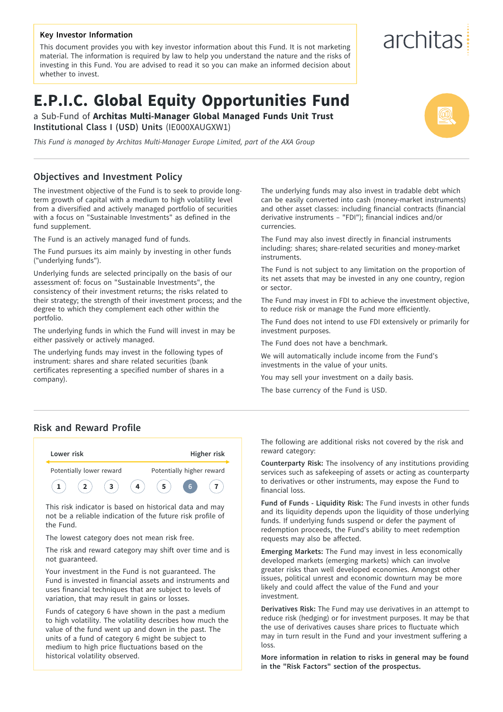#### **Key Investor Information**

This document provides you with key investor information about this Fund. It is not marketing material. The information is required by law to help you understand the nature and the risks of investing in this Fund. You are advised to read it so you can make an informed decision about whether to invest.

# **E.P.I.C. Global Equity Opportunities Fund**

a Sub-Fund of **Architas Multi-Manager Global Managed Funds Unit Trust Institutional Class I (USD) Units** (IE000XAUGXW1)

*This Fund is managed by Architas Multi-Manager Europe Limited, part of the AXA Group*

#### **Objectives and Investment Policy**

The investment objective of the Fund is to seek to provide longterm growth of capital with a medium to high volatility level from a diversified and actively managed portfolio of securities with a focus on "Sustainable Investments" as defined in the fund supplement.

The Fund is an actively managed fund of funds.

The Fund pursues its aim mainly by investing in other funds ("underlying funds").

Underlying funds are selected principally on the basis of our assessment of: focus on "Sustainable Investments", the consistency of their investment returns; the risks related to their strategy; the strength of their investment process; and the degree to which they complement each other within the portfolio.

The underlying funds in which the Fund will invest in may be either passively or actively managed.

The underlying funds may invest in the following types of instrument: shares and share related securities (bank certificates representing a specified number of shares in a company).

The underlying funds may also invest in tradable debt which can be easily converted into cash (money-market instruments) and other asset classes: including financial contracts (financial derivative instruments – "FDI"); financial indices and/or currencies.

The Fund may also invest directly in financial instruments including: shares; share-related securities and money-market instruments.

The Fund is not subject to any limitation on the proportion of its net assets that may be invested in any one country, region or sector.

The Fund may invest in FDI to achieve the investment objective, to reduce risk or manage the Fund more efficiently.

The Fund does not intend to use FDI extensively or primarily for investment purposes.

The Fund does not have a benchmark.

We will automatically include income from the Fund's investments in the value of your units.

You may sell your investment on a daily basis.

The base currency of the Fund is USD.

#### **Risk and Reward Profile**



not be a reliable indication of the future risk profile of the Fund.

The lowest category does not mean risk free.

The risk and reward category may shift over time and is not guaranteed.

Your investment in the Fund is not guaranteed. The Fund is invested in financial assets and instruments and uses financial techniques that are subject to levels of variation, that may result in gains or losses.

Funds of category 6 have shown in the past a medium to high volatility. The volatility describes how much the value of the fund went up and down in the past. The units of a fund of category 6 might be subject to medium to high price fluctuations based on the historical volatility observed.

The following are additional risks not covered by the risk and reward category:

**Counterparty Risk:** The insolvency of any institutions providing services such as safekeeping of assets or acting as counterparty to derivatives or other instruments, may expose the Fund to financial loss.

**Fund of Funds - Liquidity Risk:** The Fund invests in other funds and its liquidity depends upon the liquidity of those underlying funds. If underlying funds suspend or defer the payment of redemption proceeds, the Fund's ability to meet redemption requests may also be affected.

**Emerging Markets:** The Fund may invest in less economically developed markets (emerging markets) which can involve greater risks than well developed economies. Amongst other issues, political unrest and economic downturn may be more likely and could affect the value of the Fund and your investment.

**Derivatives Risk:** The Fund may use derivatives in an attempt to reduce risk (hedging) or for investment purposes. It may be that the use of derivatives causes share prices to fluctuate which may in turn result in the Fund and your investment suffering a loss.

**More information in relation to risks in general may be found in the "Risk Factors" section of the prospectus.**

# architas